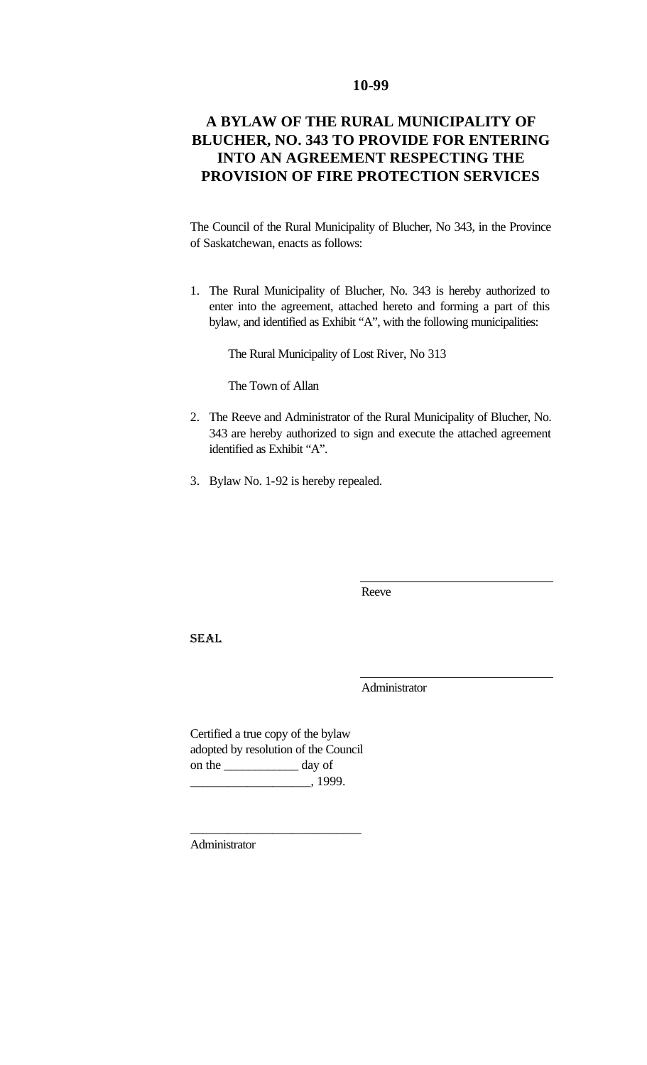# **10-99**

# **A BYLAW OF THE RURAL MUNICIPALITY OF BLUCHER, NO. 343 TO PROVIDE FOR ENTERING INTO AN AGREEMENT RESPECTING THE PROVISION OF FIRE PROTECTION SERVICES**

The Council of the Rural Municipality of Blucher, No 343, in the Province of Saskatchewan, enacts as follows:

1. The Rural Municipality of Blucher, No. 343 is hereby authorized to enter into the agreement, attached hereto and forming a part of this bylaw, and identified as Exhibit "A", with the following municipalities:

The Rural Municipality of Lost River, No 313

The Town of Allan

- 2. The Reeve and Administrator of the Rural Municipality of Blucher, No. 343 are hereby authorized to sign and execute the attached agreement identified as Exhibit "A".
- 3. Bylaw No. 1-92 is hereby repealed.

Reeve

SEAL

Administrator

Certified a true copy of the bylaw adopted by resolution of the Council on the \_\_\_\_\_\_\_\_\_\_\_\_ day of  $\frac{1999}{2}$ 

\_\_\_\_\_\_\_\_\_\_\_\_\_\_\_\_\_\_\_\_\_\_\_\_\_\_\_

Administrator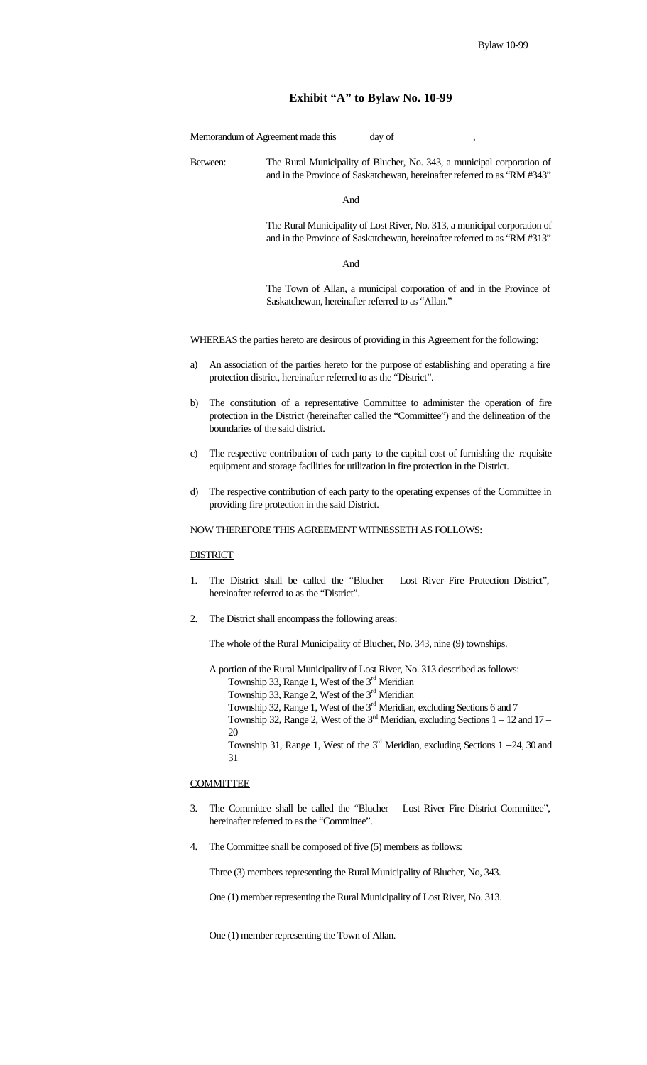### **Exhibit "A" to Bylaw No. 10-99**

Memorandum of Agreement made this \_\_\_\_\_\_ day of \_\_\_\_\_\_\_\_\_\_\_\_\_\_\_\_, \_\_\_\_\_\_\_

Between: The Rural Municipality of Blucher, No. 343, a municipal corporation of and in the Province of Saskatchewan, hereinafter referred to as "RM #343"

And

The Rural Municipality of Lost River, No. 313, a municipal corporation of and in the Province of Saskatchewan, hereinafter referred to as "RM #313"

And

The Town of Allan, a municipal corporation of and in the Province of Saskatchewan, hereinafter referred to as "Allan."

WHEREAS the parties hereto are desirous of providing in this Agreement for the following:

- a) An association of the parties hereto for the purpose of establishing and operating a fire protection district, hereinafter referred to as the "District".
- b) The constitution of a representative Committee to administer the operation of fire protection in the District (hereinafter called the "Committee") and the delineation of the boundaries of the said district.
- c) The respective contribution of each party to the capital cost of furnishing the requisite equipment and storage facilities for utilization in fire protection in the District.
- d) The respective contribution of each party to the operating expenses of the Committee in providing fire protection in the said District.

NOW THEREFORE THIS AGREEMENT WITNESSETH AS FOLLOWS:

### **DISTRICT**

- 1. The District shall be called the "Blucher Lost River Fire Protection District", hereinafter referred to as the "District".
- 2. The District shall encompass the following areas:

The whole of the Rural Municipality of Blucher, No. 343, nine (9) townships.

A portion of the Rural Municipality of Lost River, No. 313 described as follows:

- Township 33, Range 1, West of the 3<sup>rd</sup> Meridian
- Township 33, Range 2, West of the  $3<sup>rd</sup>$  Meridian
- Township 32, Range 1, West of the 3<sup>rd</sup> Meridian, excluding Sections 6 and 7
- Township 32, Range 2, West of the  $3<sup>rd</sup>$  Meridian, excluding Sections  $1 12$  and  $17 -$ 20
- Township 31, Range 1, West of the  $3<sup>rd</sup>$  Meridian, excluding Sections 1 –24, 30 and 31

#### **COMMITTEE**

- 3. The Committee shall be called the "Blucher Lost River Fire District Committee", hereinafter referred to as the "Committee".
- 4. The Committee shall be composed of five (5) members as follows:

Three (3) members representing the Rural Municipality of Blucher, No, 343.

One (1) member representing the Rural Municipality of Lost River, No. 313.

One (1) member representing the Town of Allan.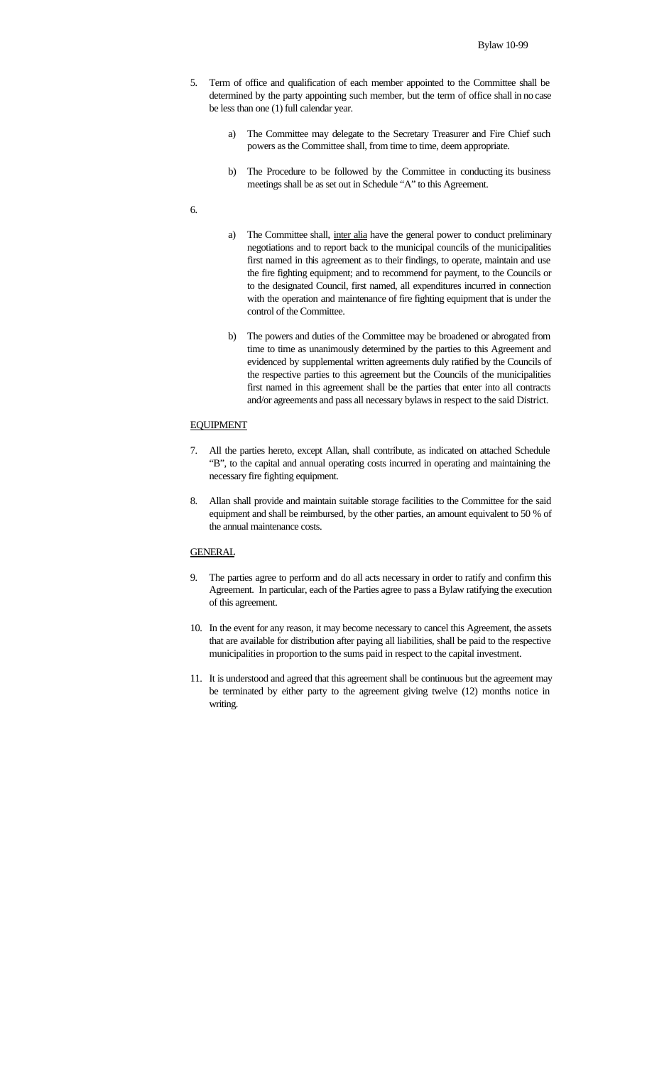- 5. Term of office and qualification of each member appointed to the Committee shall be determined by the party appointing such member, but the term of office shall in no case be less than one (1) full calendar year.
	- a) The Committee may delegate to the Secretary Treasurer and Fire Chief such powers as the Committee shall, from time to time, deem appropriate.
	- b) The Procedure to be followed by the Committee in conducting its business meetings shall be as set out in Schedule "A" to this Agreement.

### 6.

- a) The Committee shall, inter alia have the general power to conduct preliminary negotiations and to report back to the municipal councils of the municipalities first named in this agreement as to their findings, to operate, maintain and use the fire fighting equipment; and to recommend for payment, to the Councils or to the designated Council, first named, all expenditures incurred in connection with the operation and maintenance of fire fighting equipment that is under the control of the Committee.
- b) The powers and duties of the Committee may be broadened or abrogated from time to time as unanimously determined by the parties to this Agreement and evidenced by supplemental written agreements duly ratified by the Councils of the respective parties to this agreement but the Councils of the municipalities first named in this agreement shall be the parties that enter into all contracts and/or agreements and pass all necessary bylaws in respect to the said District.

#### EQUIPMENT

- 7. All the parties hereto, except Allan, shall contribute, as indicated on attached Schedule "B", to the capital and annual operating costs incurred in operating and maintaining the necessary fire fighting equipment.
- 8. Allan shall provide and maintain suitable storage facilities to the Committee for the said equipment and shall be reimbursed, by the other parties, an amount equivalent to 50 % of the annual maintenance costs.

# **GENERAL**

- 9. The parties agree to perform and do all acts necessary in order to ratify and confirm this Agreement. In particular, each of the Parties agree to pass a Bylaw ratifying the execution of this agreement.
- 10. In the event for any reason, it may become necessary to cancel this Agreement, the assets that are available for distribution after paying all liabilities, shall be paid to the respective municipalities in proportion to the sums paid in respect to the capital investment.
- 11. It is understood and agreed that this agreement shall be continuous but the agreement may be terminated by either party to the agreement giving twelve (12) months notice in writing.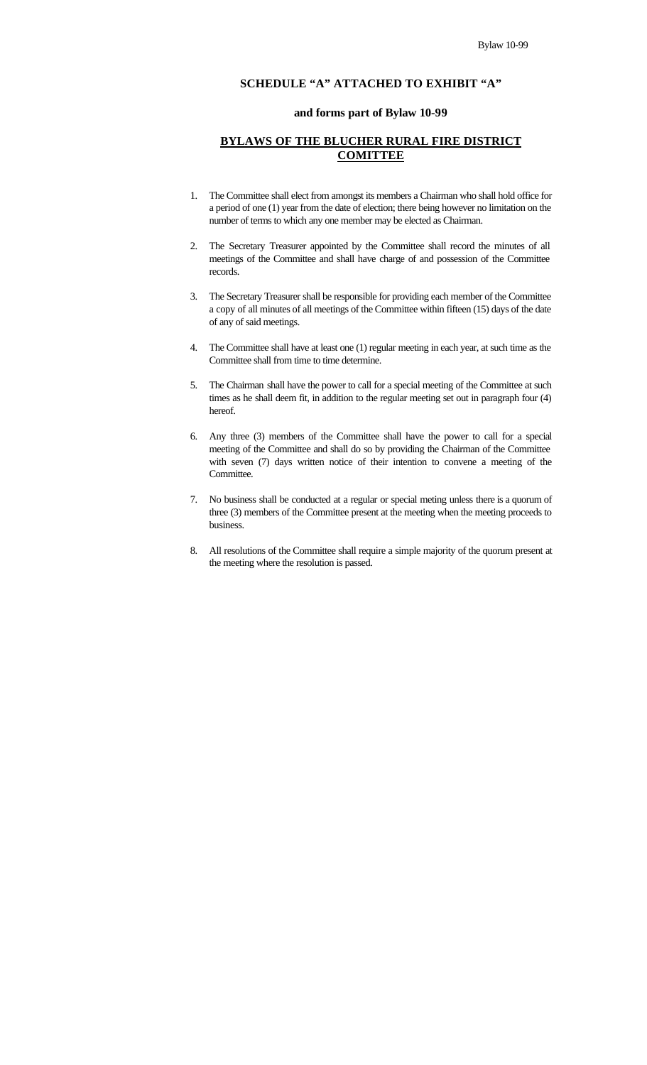# **SCHEDULE "A" ATTACHED TO EXHIBIT "A"**

### **and forms part of Bylaw 10-99**

### **BYLAWS OF THE BLUCHER RURAL FIRE DISTRICT COMITTEE**

- 1. The Committee shall elect from amongst its members a Chairman who shall hold office for a period of one (1) year from the date of election; there being however no limitation on the number of terms to which any one member may be elected as Chairman.
- 2. The Secretary Treasurer appointed by the Committee shall record the minutes of all meetings of the Committee and shall have charge of and possession of the Committee records.
- 3. The Secretary Treasurer shall be responsible for providing each member of the Committee a copy of all minutes of all meetings of the Committee within fifteen (15) days of the date of any of said meetings.
- 4. The Committee shall have at least one (1) regular meeting in each year, at such time as the Committee shall from time to time determine.
- 5. The Chairman shall have the power to call for a special meeting of the Committee at such times as he shall deem fit, in addition to the regular meeting set out in paragraph four (4) hereof.
- 6. Any three (3) members of the Committee shall have the power to call for a special meeting of the Committee and shall do so by providing the Chairman of the Committee with seven (7) days written notice of their intention to convene a meeting of the Committee.
- 7. No business shall be conducted at a regular or special meting unless there is a quorum of three (3) members of the Committee present at the meeting when the meeting proceeds to business.
- 8. All resolutions of the Committee shall require a simple majority of the quorum present at the meeting where the resolution is passed.